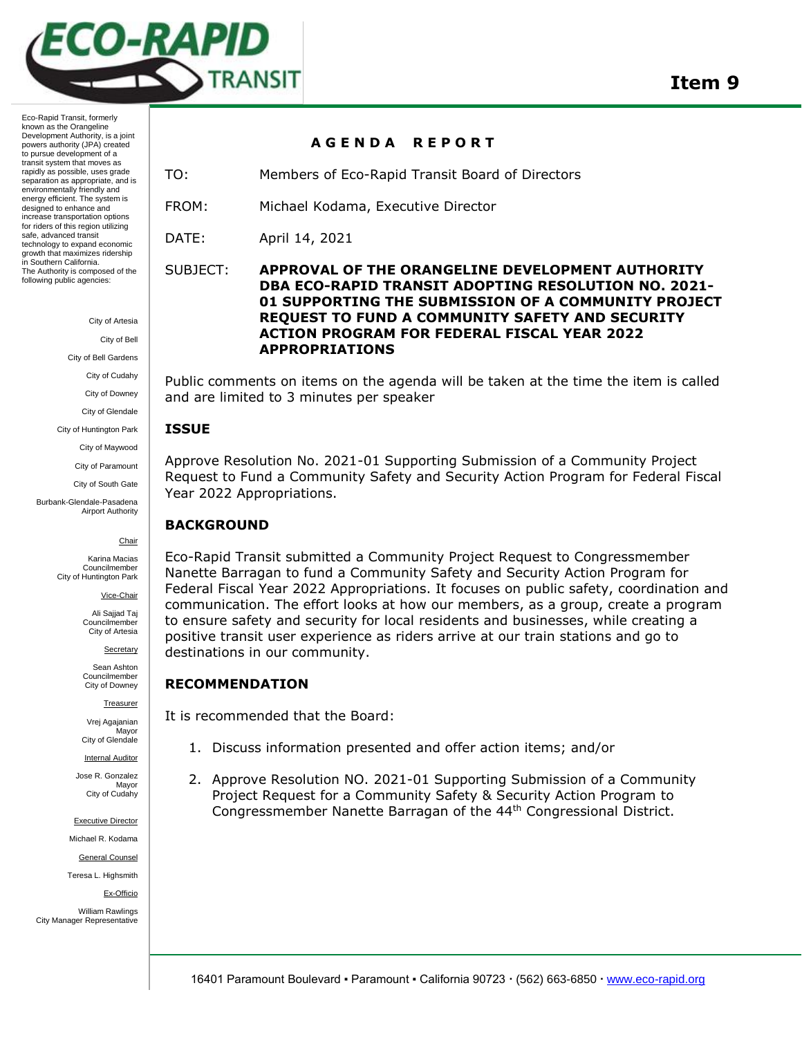

Eco-Rapid Transit, formerly known as the Orangeline Development Authority, is a joint powers authority (JPA) created to pursue development of a transit system that moves as rapidly as possible, uses grade separation as appropriate, and is environmentally friendly and energy efficient. The system is designed to enhance and increase transportation options for riders of this region utilizing safe, advanced transit technology to expand economic growth that maximizes ridership in Southern California. The Authority is composed of the following public agencies:

City of Artesia

City of Bell

City of Bell Gardens

City of Cudahy

City of Downey

City of Glendale

City of Huntington Park

City of Maywood City of Paramount

City of South Gate

Burbank-Glendale-Pasadena Airport Authority

#### Chair

Karina Macias Councilmember City of Huntington Park

Vice-Chair

Ali Sajjad Taj Councilmember City of Artesia

**Secretary** 

Sean Ashton **Councilmember** City of Downey

Treasurer

Vrej Agajanian **Mavor** City of Glendale

Internal Auditor

Jose R. Gonzalez Mayor City of Cudahy

Executive Director

Michael R. Kodama General Counsel

Teresa L. Highsmith

Ex-Officio

William Rawlings City Manager Representative

#### **A G E N D A R E P O R T**

TO: Members of Eco-Rapid Transit Board of Directors

FROM: Michael Kodama, Executive Director

DATE: April 14, 2021

### SUBJECT: **APPROVAL OF THE ORANGELINE DEVELOPMENT AUTHORITY DBA ECO-RAPID TRANSIT ADOPTING RESOLUTION NO. 2021- 01 SUPPORTING THE SUBMISSION OF A COMMUNITY PROJECT REQUEST TO FUND A COMMUNITY SAFETY AND SECURITY ACTION PROGRAM FOR FEDERAL FISCAL YEAR 2022 APPROPRIATIONS**

Public comments on items on the agenda will be taken at the time the item is called and are limited to 3 minutes per speaker

#### **ISSUE**

Approve Resolution No. 2021-01 Supporting Submission of a Community Project Request to Fund a Community Safety and Security Action Program for Federal Fiscal Year 2022 Appropriations.

## **BACKGROUND**

Eco-Rapid Transit submitted a Community Project Request to Congressmember Nanette Barragan to fund a Community Safety and Security Action Program for Federal Fiscal Year 2022 Appropriations. It focuses on public safety, coordination and communication. The effort looks at how our members, as a group, create a program to ensure safety and security for local residents and businesses, while creating a positive transit user experience as riders arrive at our train stations and go to destinations in our community.

## **RECOMMENDATION**

It is recommended that the Board:

- 1. Discuss information presented and offer action items; and/or
- 2. Approve Resolution NO. 2021-01 Supporting Submission of a Community Project Request for a Community Safety & Security Action Program to Congressmember Nanette Barragan of the 44th Congressional District.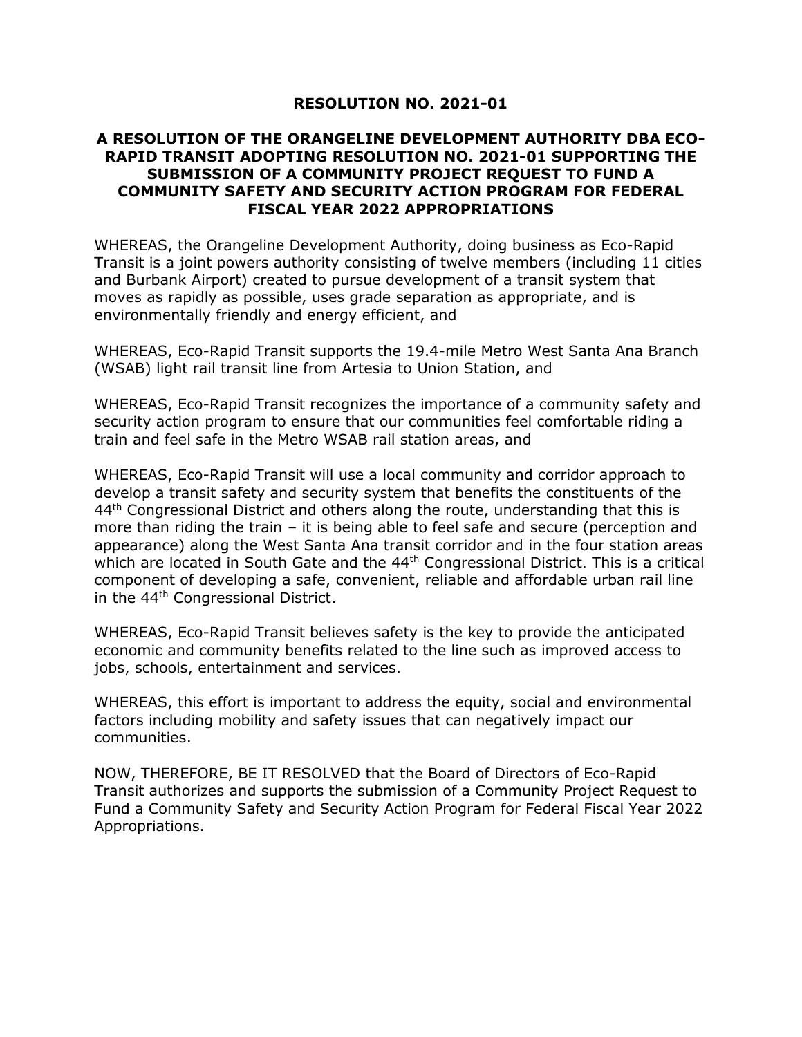# **RESOLUTION NO. 2021-01**

# **A RESOLUTION OF THE ORANGELINE DEVELOPMENT AUTHORITY DBA ECO-RAPID TRANSIT ADOPTING RESOLUTION NO. 2021-01 SUPPORTING THE SUBMISSION OF A COMMUNITY PROJECT REQUEST TO FUND A COMMUNITY SAFETY AND SECURITY ACTION PROGRAM FOR FEDERAL FISCAL YEAR 2022 APPROPRIATIONS**

WHEREAS, the Orangeline Development Authority, doing business as Eco-Rapid Transit is a joint powers authority consisting of twelve members (including 11 cities and Burbank Airport) created to pursue development of a transit system that moves as rapidly as possible, uses grade separation as appropriate, and is environmentally friendly and energy efficient, and

WHEREAS, Eco-Rapid Transit supports the 19.4-mile Metro West Santa Ana Branch (WSAB) light rail transit line from Artesia to Union Station, and

WHEREAS, Eco-Rapid Transit recognizes the importance of a community safety and security action program to ensure that our communities feel comfortable riding a train and feel safe in the Metro WSAB rail station areas, and

WHEREAS, Eco-Rapid Transit will use a local community and corridor approach to develop a transit safety and security system that benefits the constituents of the  $44<sup>th</sup>$  Congressional District and others along the route, understanding that this is more than riding the train – it is being able to feel safe and secure (perception and appearance) along the West Santa Ana transit corridor and in the four station areas which are located in South Gate and the 44<sup>th</sup> Congressional District. This is a critical component of developing a safe, convenient, reliable and affordable urban rail line in the 44<sup>th</sup> Congressional District.

WHEREAS, Eco-Rapid Transit believes safety is the key to provide the anticipated economic and community benefits related to the line such as improved access to jobs, schools, entertainment and services.

WHEREAS, this effort is important to address the equity, social and environmental factors including mobility and safety issues that can negatively impact our communities.

NOW, THEREFORE, BE IT RESOLVED that the Board of Directors of Eco-Rapid Transit authorizes and supports the submission of a Community Project Request to Fund a Community Safety and Security Action Program for Federal Fiscal Year 2022 Appropriations.